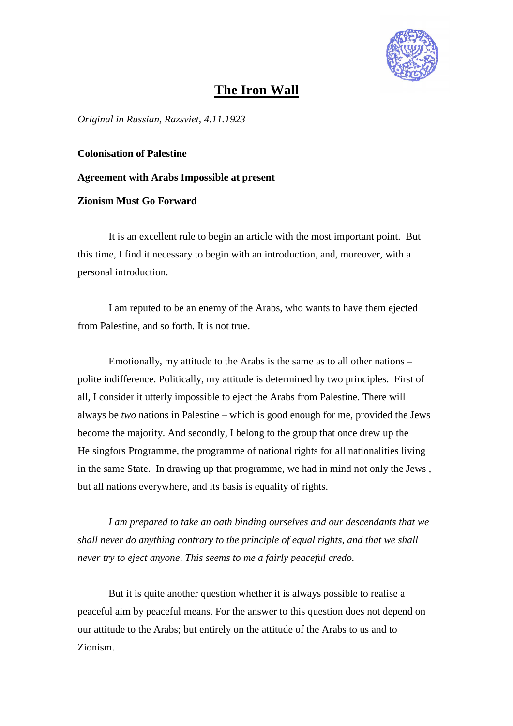

# **The Iron Wall**

*Original in Russian, Razsviet, 4.11.1923* 

**Colonisation of Palestine** 

#### **Agreement with Arabs Impossible at present**

#### **Zionism Must Go Forward**

It is an excellent rule to begin an article with the most important point. But this time, I find it necessary to begin with an introduction, and, moreover, with a personal introduction.

 I am reputed to be an enemy of the Arabs, who wants to have them ejected from Palestine, and so forth. It is not true.

Emotionally, my attitude to the Arabs is the same as to all other nations – polite indifference. Politically, my attitude is determined by two principles. First of all, I consider it utterly impossible to eject the Arabs from Palestine. There will always be *two* nations in Palestine – which is good enough for me, provided the Jews become the majority. And secondly, I belong to the group that once drew up the Helsingfors Programme, the programme of national rights for all nationalities living in the same State. In drawing up that programme, we had in mind not only the Jews , but all nations everywhere, and its basis is equality of rights.

*I am prepared to take an oath binding ourselves and our descendants that we shall never do anything contrary to the principle of equal rights, and that we shall never try to eject anyone*. *This seems to me a fairly peaceful credo.* 

But it is quite another question whether it is always possible to realise a peaceful aim by peaceful means. For the answer to this question does not depend on our attitude to the Arabs; but entirely on the attitude of the Arabs to us and to Zionism.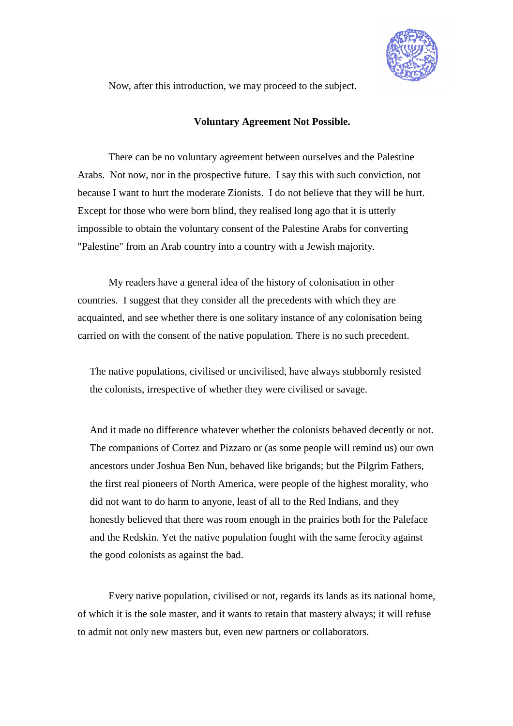

Now, after this introduction, we may proceed to the subject.

## **Voluntary Agreement Not Possible.**

There can be no voluntary agreement between ourselves and the Palestine Arabs. Not now, nor in the prospective future. I say this with such conviction, not because I want to hurt the moderate Zionists. I do not believe that they will be hurt. Except for those who were born blind, they realised long ago that it is utterly impossible to obtain the voluntary consent of the Palestine Arabs for converting "Palestine" from an Arab country into a country with a Jewish majority.

My readers have a general idea of the history of colonisation in other countries. I suggest that they consider all the precedents with which they are acquainted, and see whether there is one solitary instance of any colonisation being carried on with the consent of the native population. There is no such precedent.

The native populations, civilised or uncivilised, have always stubbornly resisted the colonists, irrespective of whether they were civilised or savage.

And it made no difference whatever whether the colonists behaved decently or not. The companions of Cortez and Pizzaro or (as some people will remind us) our own ancestors under Joshua Ben Nun, behaved like brigands; but the Pilgrim Fathers, the first real pioneers of North America, were people of the highest morality, who did not want to do harm to anyone, least of all to the Red Indians, and they honestly believed that there was room enough in the prairies both for the Paleface and the Redskin. Yet the native population fought with the same ferocity against the good colonists as against the bad.

Every native population, civilised or not, regards its lands as its national home, of which it is the sole master, and it wants to retain that mastery always; it will refuse to admit not only new masters but, even new partners or collaborators.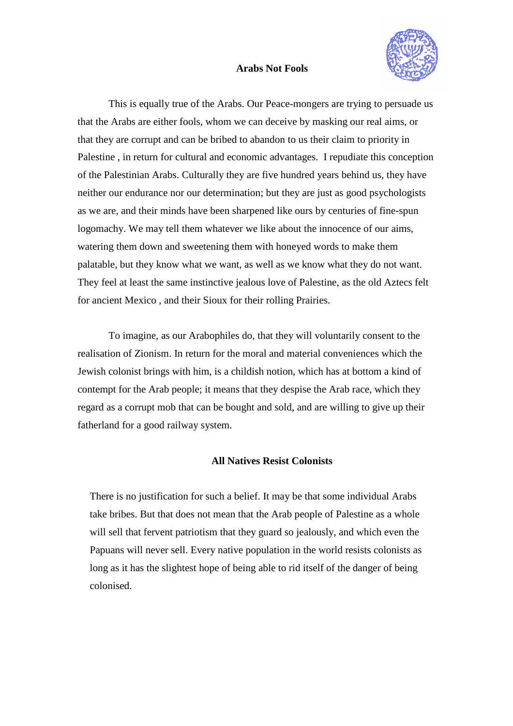#### **Arabs Not Fools**



This is equally true of the Arabs. Our Peace-mongers are trying to persuade us that the Arabs are either fools, whom we can deceive by masking our real aims, or that they are corrupt and can be bribed to abandon to us their claim to priority in Palestine , in return for cultural and economic advantages. I repudiate this conception of the Palestinian Arabs. Culturally they are five hundred years behind us, they have neither our endurance nor our determination; but they are just as good psychologists as we are, and their minds have been sharpened like ours by centuries of fine-spun logomachy. We may tell them whatever we like about the innocence of our aims, watering them down and sweetening them with honeyed words to make them palatable, but they know what we want, as well as we know what they do not want. They feel at least the same instinctive jealous love of Palestine, as the old Aztecs felt for ancient Mexico , and their Sioux for their rolling Prairies.

To imagine, as our Arabophiles do, that they will voluntarily consent to the realisation of Zionism. In return for the moral and material conveniences which the Jewish colonist brings with him, is a childish notion, which has at bottom a kind of contempt for the Arab people; it means that they despise the Arab race, which they regard as a corrupt mob that can be bought and sold, and are willing to give up their fatherland for a good railway system.

#### **All Natives Resist Colonists**

There is no justification for such a belief. It may be that some individual Arabs take bribes. But that does not mean that the Arab people of Palestine as a whole will sell that fervent patriotism that they guard so jealously, and which even the Papuans will never sell. Every native population in the world resists colonists as long as it has the slightest hope of being able to rid itself of the danger of being colonised.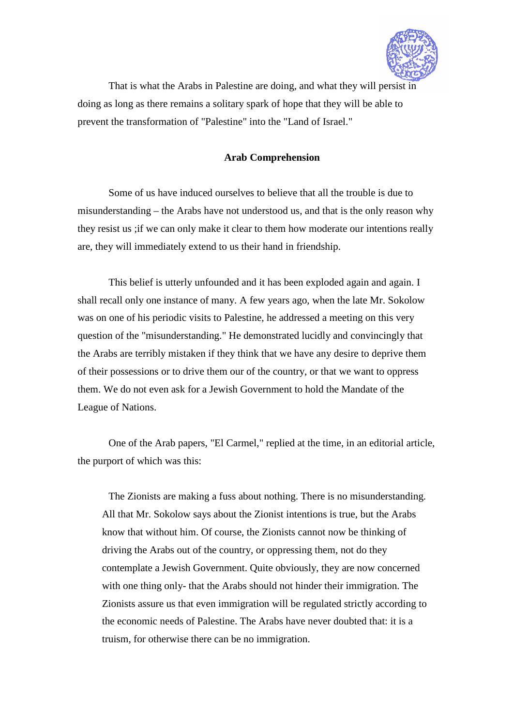

That is what the Arabs in Palestine are doing, and what they will persist in doing as long as there remains a solitary spark of hope that they will be able to prevent the transformation of "Palestine" into the "Land of Israel."

#### **Arab Comprehension**

Some of us have induced ourselves to believe that all the trouble is due to misunderstanding – the Arabs have not understood us, and that is the only reason why they resist us ;if we can only make it clear to them how moderate our intentions really are, they will immediately extend to us their hand in friendship.

 This belief is utterly unfounded and it has been exploded again and again. I shall recall only one instance of many. A few years ago, when the late Mr. Sokolow was on one of his periodic visits to Palestine, he addressed a meeting on this very question of the "misunderstanding." He demonstrated lucidly and convincingly that the Arabs are terribly mistaken if they think that we have any desire to deprive them of their possessions or to drive them our of the country, or that we want to oppress them. We do not even ask for a Jewish Government to hold the Mandate of the League of Nations.

 One of the Arab papers, "El Carmel," replied at the time, in an editorial article, the purport of which was this:

 The Zionists are making a fuss about nothing. There is no misunderstanding. All that Mr. Sokolow says about the Zionist intentions is true, but the Arabs know that without him. Of course, the Zionists cannot now be thinking of driving the Arabs out of the country, or oppressing them, not do they contemplate a Jewish Government. Quite obviously, they are now concerned with one thing only- that the Arabs should not hinder their immigration. The Zionists assure us that even immigration will be regulated strictly according to the economic needs of Palestine. The Arabs have never doubted that: it is a truism, for otherwise there can be no immigration.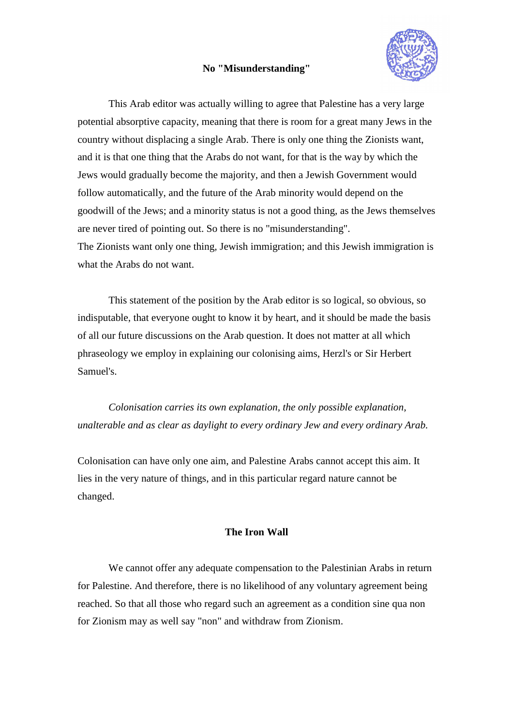#### **No "Misunderstanding"**



 This Arab editor was actually willing to agree that Palestine has a very large potential absorptive capacity, meaning that there is room for a great many Jews in the country without displacing a single Arab. There is only one thing the Zionists want, and it is that one thing that the Arabs do not want, for that is the way by which the Jews would gradually become the majority, and then a Jewish Government would follow automatically, and the future of the Arab minority would depend on the goodwill of the Jews; and a minority status is not a good thing, as the Jews themselves are never tired of pointing out. So there is no "misunderstanding". The Zionists want only one thing, Jewish immigration; and this Jewish immigration is what the Arabs do not want.

 This statement of the position by the Arab editor is so logical, so obvious, so indisputable, that everyone ought to know it by heart, and it should be made the basis of all our future discussions on the Arab question. It does not matter at all which phraseology we employ in explaining our colonising aims, Herzl's or Sir Herbert Samuel's.

*Colonisation carries its own explanation, the only possible explanation, unalterable and as clear as daylight to every ordinary Jew and every ordinary Arab.*

Colonisation can have only one aim, and Palestine Arabs cannot accept this aim. It lies in the very nature of things, and in this particular regard nature cannot be changed.

## **The Iron Wall**

 We cannot offer any adequate compensation to the Palestinian Arabs in return for Palestine. And therefore, there is no likelihood of any voluntary agreement being reached. So that all those who regard such an agreement as a condition sine qua non for Zionism may as well say "non" and withdraw from Zionism.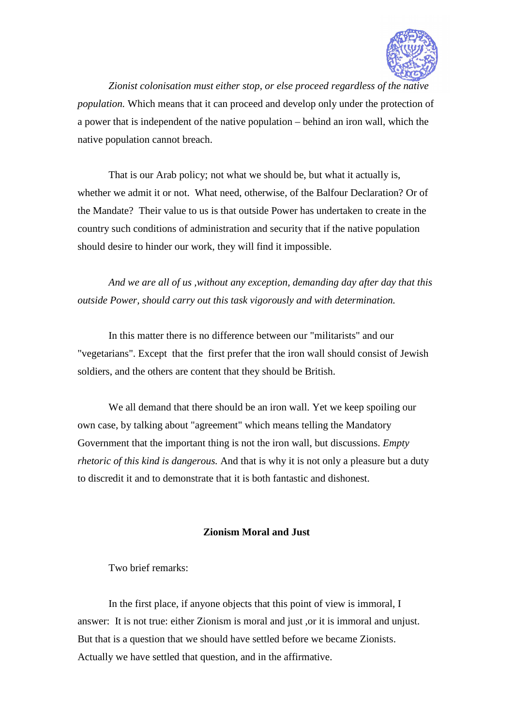

*Zionist colonisation must either stop, or else proceed regardless of the native population.* Which means that it can proceed and develop only under the protection of a power that is independent of the native population – behind an iron wall, which the native population cannot breach.

 That is our Arab policy; not what we should be, but what it actually is, whether we admit it or not. What need, otherwise, of the Balfour Declaration? Or of the Mandate? Their value to us is that outside Power has undertaken to create in the country such conditions of administration and security that if the native population should desire to hinder our work, they will find it impossible.

*And we are all of us ,without any exception, demanding day after day that this outside Power, should carry out this task vigorously and with determination.* 

 In this matter there is no difference between our "militarists" and our "vegetarians". Except that the first prefer that the iron wall should consist of Jewish soldiers, and the others are content that they should be British.

 We all demand that there should be an iron wall. Yet we keep spoiling our own case, by talking about "agreement" which means telling the Mandatory Government that the important thing is not the iron wall, but discussions. *Empty rhetoric of this kind is dangerous.* And that is why it is not only a pleasure but a duty to discredit it and to demonstrate that it is both fantastic and dishonest.

## **Zionism Moral and Just**

Two brief remarks:

 In the first place, if anyone objects that this point of view is immoral, I answer: It is not true: either Zionism is moral and just ,or it is immoral and unjust. But that is a question that we should have settled before we became Zionists. Actually we have settled that question, and in the affirmative.